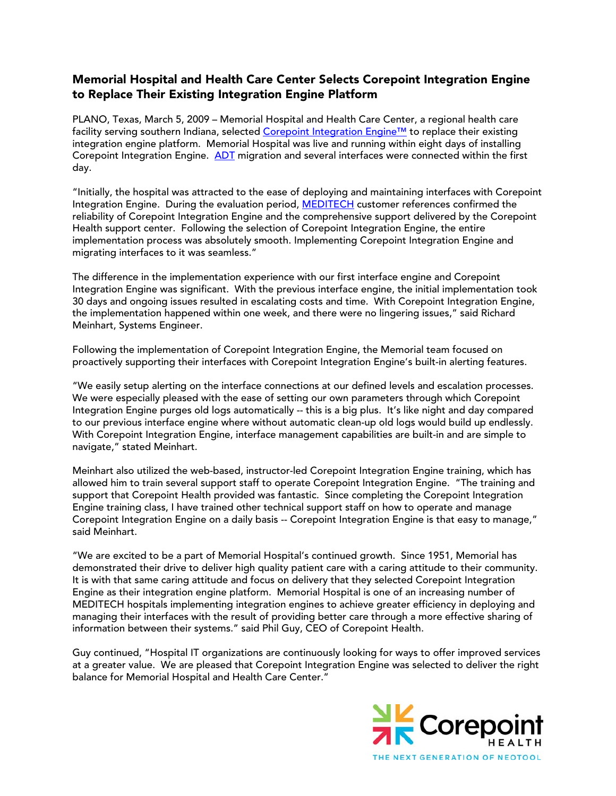## Memorial Hospital and Health Care Center Selects Corepoint Integration Engine to Replace Their Existing Integration Engine Platform

PLANO, Texas, March 5, 2009 – Memorial Hospital and Health Care Center, a regional health care facility serving southern Indiana, selected [Corepoint Integration Engine™](http://www.corepointhealth.com/products/corepoint-connections) to replace their existing integration engine platform. Memorial Hospital was live and running within eight days of installing Corepoint Integration Engine. [ADT](http://www.corepointhealth.com/resource-center/hl7-resources) migration and several interfaces were connected within the first day.

"Initially, the hospital was attracted to the ease of deploying and maintaining interfaces with Corepoint Integration Engine. During the evaluation period, **MEDITECH** customer references confirmed the reliability of Corepoint Integration Engine and the comprehensive support delivered by the Corepoint Health support center. Following the selection of Corepoint Integration Engine, the entire implementation process was absolutely smooth. Implementing Corepoint Integration Engine and migrating interfaces to it was seamless."

The difference in the implementation experience with our first interface engine and Corepoint Integration Engine was significant. With the previous interface engine, the initial implementation took 30 days and ongoing issues resulted in escalating costs and time. With Corepoint Integration Engine, the implementation happened within one week, and there were no lingering issues," said Richard Meinhart, Systems Engineer.

Following the implementation of Corepoint Integration Engine, the Memorial team focused on proactively supporting their interfaces with Corepoint Integration Engine's built-in alerting features.

"We easily setup alerting on the interface connections at our defined levels and escalation processes. We were especially pleased with the ease of setting our own parameters through which Corepoint Integration Engine purges old logs automatically -- this is a big plus. It's like night and day compared to our previous interface engine where without automatic clean-up old logs would build up endlessly. With Corepoint Integration Engine, interface management capabilities are built-in and are simple to navigate," stated Meinhart.

Meinhart also utilized the web-based, instructor-led Corepoint Integration Engine training, which has allowed him to train several support staff to operate Corepoint Integration Engine. "The training and support that Corepoint Health provided was fantastic. Since completing the Corepoint Integration Engine training class, I have trained other technical support staff on how to operate and manage Corepoint Integration Engine on a daily basis -- Corepoint Integration Engine is that easy to manage," said Meinhart.

"We are excited to be a part of Memorial Hospital's continued growth. Since 1951, Memorial has demonstrated their drive to deliver high quality patient care with a caring attitude to their community. It is with that same caring attitude and focus on delivery that they selected Corepoint Integration Engine as their integration engine platform. Memorial Hospital is one of an increasing number of MEDITECH hospitals implementing integration engines to achieve greater efficiency in deploying and managing their interfaces with the result of providing better care through a more effective sharing of information between their systems." said Phil Guy, CEO of Corepoint Health.

Guy continued, "Hospital IT organizations are continuously looking for ways to offer improved services at a greater value. We are pleased that Corepoint Integration Engine was selected to deliver the right balance for Memorial Hospital and Health Care Center."